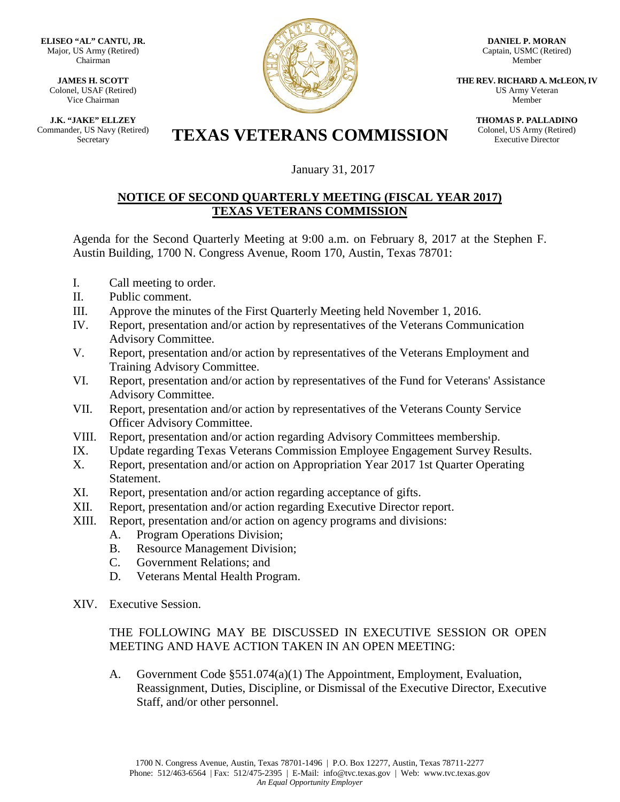**ELISEO "AL" CANTU, JR.** Major, US Army (Retired) Chairman

**JAMES H. SCOTT** Colonel, USAF (Retired) Vice Chairman

**J.K. "JAKE" ELLZEY** Commander, US Navy (Retired)



**DANIEL P. MORAN** Captain, USMC (Retired) Member

**THE REV. RICHARD A. McLEON, IV** US Army Veteran Member

> **THOMAS P. PALLADINO** Colonel, US Army (Retired) Executive Director

## Er, US Navy (Retired) **TEXAS VETERANS COMMISSION**

January 31, 2017

## **NOTICE OF SECOND QUARTERLY MEETING (FISCAL YEAR 2017) TEXAS VETERANS COMMISSION**

Agenda for the Second Quarterly Meeting at 9:00 a.m. on February 8, 2017 at the Stephen F. Austin Building, 1700 N. Congress Avenue, Room 170, Austin, Texas 78701:

- I. Call meeting to order.
- II. Public comment.
- III. Approve the minutes of the First Quarterly Meeting held November 1, 2016.
- IV. Report, presentation and/or action by representatives of the Veterans Communication Advisory Committee.
- V. Report, presentation and/or action by representatives of the Veterans Employment and Training Advisory Committee.
- VI. Report, presentation and/or action by representatives of the Fund for Veterans' Assistance Advisory Committee.
- VII. Report, presentation and/or action by representatives of the Veterans County Service Officer Advisory Committee.
- VIII. Report, presentation and/or action regarding Advisory Committees membership.
- IX. Update regarding Texas Veterans Commission Employee Engagement Survey Results.
- X. Report, presentation and/or action on Appropriation Year 2017 1st Quarter Operating Statement.
- XI. Report, presentation and/or action regarding acceptance of gifts.
- XII. Report, presentation and/or action regarding Executive Director report.
- XIII. Report, presentation and/or action on agency programs and divisions:
	- A. Program Operations Division;
	- B. Resource Management Division;
	- C. Government Relations; and
	- D. Veterans Mental Health Program.
- XIV. Executive Session.

## THE FOLLOWING MAY BE DISCUSSED IN EXECUTIVE SESSION OR OPEN MEETING AND HAVE ACTION TAKEN IN AN OPEN MEETING:

A. Government Code §551.074(a)(1) The Appointment, Employment, Evaluation, Reassignment, Duties, Discipline, or Dismissal of the Executive Director, Executive Staff, and/or other personnel.